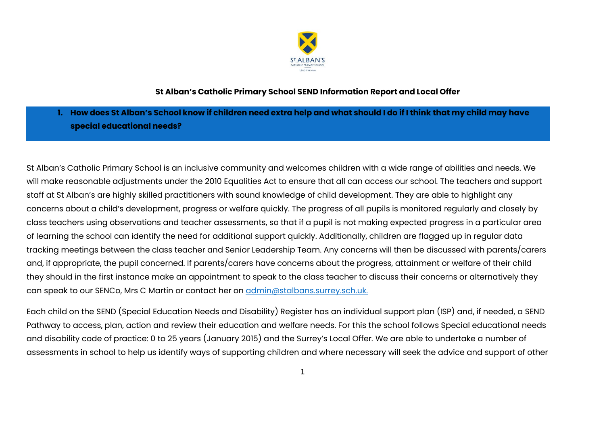

## **St Alban's Catholic Primary School SEND Information Report and Local Offer**

**1. How does St Alban's School know if children need extra help and what should I do if I think that my child may have special educational needs?** 

St Alban's Catholic Primary School is an inclusive community and welcomes children with a wide range of abilities and needs. We will make reasonable adjustments under the 2010 Equalities Act to ensure that all can access our school. The teachers and support staff at St Alban's are highly skilled practitioners with sound knowledge of child development. They are able to highlight any concerns about a child's development, progress or welfare quickly. The progress of all pupils is monitored regularly and closely by class teachers using observations and teacher assessments, so that if a pupil is not making expected progress in a particular area of learning the school can identify the need for additional support quickly. Additionally, children are flagged up in regular data tracking meetings between the class teacher and Senior Leadership Team. Any concerns will then be discussed with parents/carers and, if appropriate, the pupil concerned. If parents/carers have concerns about the progress, attainment or welfare of their child they should in the first instance make an appointment to speak to the class teacher to discuss their concerns or alternatively they can speak to our SENCo, Mrs C Martin or contact her on [admin@stalbans.surrey.sch.uk.](mailto:admin@stalbans.surrey.sch.uk)

Each child on the SEND (Special Education Needs and Disability) Register has an individual support plan (ISP) and, if needed, a SEND Pathway to access, plan, action and review their education and welfare needs. For this the school follows Special educational needs and disability code of practice: 0 to 25 years (January 2015) and the Surrey's Local Offer. We are able to undertake a number of assessments in school to help us identify ways of supporting children and where necessary will seek the advice and support of other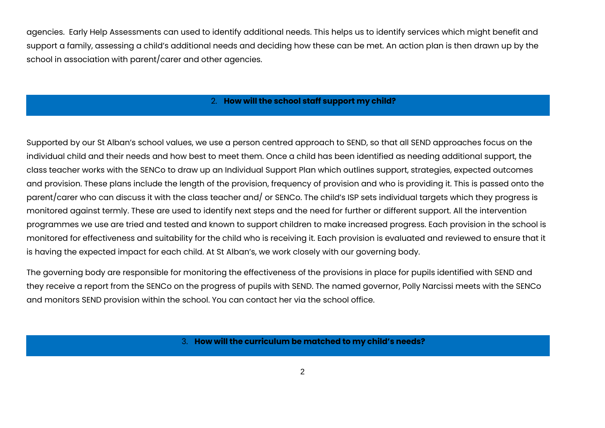agencies. Early Help Assessments can used to identify additional needs. This helps us to identify services which might benefit and support a family, assessing a child's additional needs and deciding how these can be met. An action plan is then drawn up by the school in association with parent/carer and other agencies.

### 2. **How will the school staff support my child?**

Supported by our St Alban's school values, we use a person centred approach to SEND, so that all SEND approaches focus on the individual child and their needs and how best to meet them. Once a child has been identified as needing additional support, the class teacher works with the SENCo to draw up an Individual Support Plan which outlines support, strategies, expected outcomes and provision. These plans include the length of the provision, frequency of provision and who is providing it. This is passed onto the parent/carer who can discuss it with the class teacher and/ or SENCo. The child's ISP sets individual targets which they progress is monitored against termly. These are used to identify next steps and the need for further or different support. All the intervention programmes we use are tried and tested and known to support children to make increased progress. Each provision in the school is monitored for effectiveness and suitability for the child who is receiving it. Each provision is evaluated and reviewed to ensure that it is having the expected impact for each child. At St Alban's, we work closely with our governing body.

The governing body are responsible for monitoring the effectiveness of the provisions in place for pupils identified with SEND and they receive a report from the SENCo on the progress of pupils with SEND. The named governor, Polly Narcissi meets with the SENCo and monitors SEND provision within the school. You can contact her via the school office.

3. **How will the curriculum be matched to my child's needs?**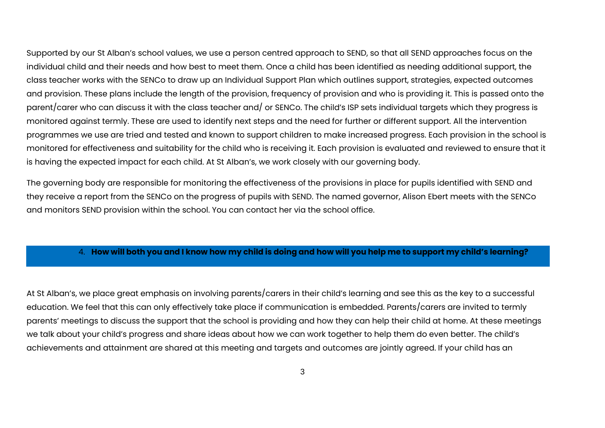Supported by our St Alban's school values, we use a person centred approach to SEND, so that all SEND approaches focus on the individual child and their needs and how best to meet them. Once a child has been identified as needing additional support, the class teacher works with the SENCo to draw up an Individual Support Plan which outlines support, strategies, expected outcomes and provision. These plans include the length of the provision, frequency of provision and who is providing it. This is passed onto the parent/carer who can discuss it with the class teacher and/ or SENCo. The child's ISP sets individual targets which they progress is monitored against termly. These are used to identify next steps and the need for further or different support. All the intervention programmes we use are tried and tested and known to support children to make increased progress. Each provision in the school is monitored for effectiveness and suitability for the child who is receiving it. Each provision is evaluated and reviewed to ensure that it is having the expected impact for each child. At St Alban's, we work closely with our governing body.

The governing body are responsible for monitoring the effectiveness of the provisions in place for pupils identified with SEND and they receive a report from the SENCo on the progress of pupils with SEND. The named governor, Alison Ebert meets with the SENCo and monitors SEND provision within the school. You can contact her via the school office.

### 4. **How will both you and I know how my child is doing and how will you help me to support my child's learning?**

At St Alban's, we place great emphasis on involving parents/carers in their child's learning and see this as the key to a successful education. We feel that this can only effectively take place if communication is embedded. Parents/carers are invited to termly parents' meetings to discuss the support that the school is providing and how they can help their child at home. At these meetings we talk about your child's progress and share ideas about how we can work together to help them do even better. The child's achievements and attainment are shared at this meeting and targets and outcomes are jointly agreed. If your child has an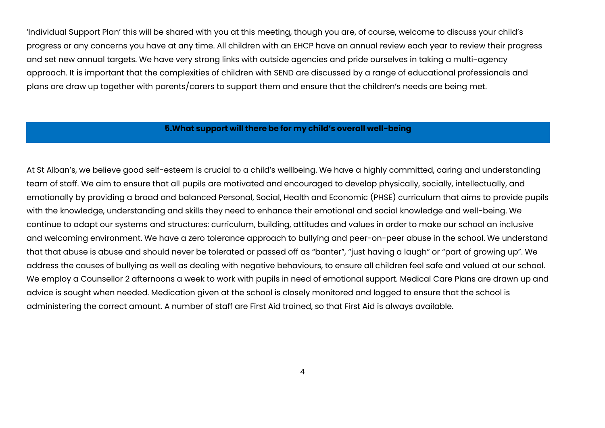'Individual Support Plan' this will be shared with you at this meeting, though you are, of course, welcome to discuss your child's progress or any concerns you have at any time. All children with an EHCP have an annual review each year to review their progress and set new annual targets. We have very strong links with outside agencies and pride ourselves in taking a multi-agency approach. It is important that the complexities of children with SEND are discussed by a range of educational professionals and plans are draw up together with parents/carers to support them and ensure that the children's needs are being met.

### **5.What support will there be for my child's overall well-being**

At St Alban's, we believe good self-esteem is crucial to a child's wellbeing. We have a highly committed, caring and understanding team of staff. We aim to ensure that all pupils are motivated and encouraged to develop physically, socially, intellectually, and emotionally by providing a broad and balanced Personal, Social, Health and Economic (PHSE) curriculum that aims to provide pupils with the knowledge, understanding and skills they need to enhance their emotional and social knowledge and well-being. We continue to adapt our systems and structures: curriculum, building, attitudes and values in order to make our school an inclusive and welcoming environment. We have a zero tolerance approach to bullying and peer-on-peer abuse in the school. We understand that that abuse is abuse and should never be tolerated or passed off as "banter", "just having a laugh" or "part of growing up". We address the causes of bullying as well as dealing with negative behaviours, to ensure all children feel safe and valued at our school. We employ a Counsellor 2 afternoons a week to work with pupils in need of emotional support. Medical Care Plans are drawn up and advice is sought when needed. Medication given at the school is closely monitored and logged to ensure that the school is administering the correct amount. A number of staff are First Aid trained, so that First Aid is always available.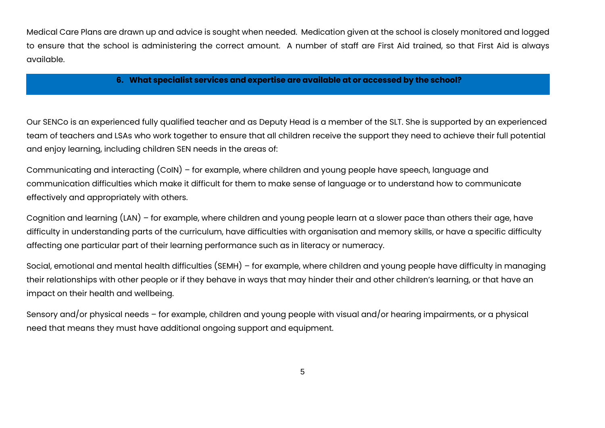Medical Care Plans are drawn up and advice is sought when needed. Medication given at the school is closely monitored and logged to ensure that the school is administering the correct amount. A number of staff are First Aid trained, so that First Aid is always available.

#### **6. What specialist services and expertise are available at or accessed by the school?**

Our SENCo is an experienced fully qualified teacher and as Deputy Head is a member of the SLT. She is supported by an experienced team of teachers and LSAs who work together to ensure that all children receive the support they need to achieve their full potential and enjoy learning, including children SEN needs in the areas of:

Communicating and interacting (CoIN) – for example, where children and young people have speech, language and communication difficulties which make it difficult for them to make sense of language or to understand how to communicate effectively and appropriately with others.

Cognition and learning (LAN) – for example, where children and young people learn at a slower pace than others their age, have difficulty in understanding parts of the curriculum, have difficulties with organisation and memory skills, or have a specific difficulty affecting one particular part of their learning performance such as in literacy or numeracy.

Social, emotional and mental health difficulties (SEMH) – for example, where children and young people have difficulty in managing their relationships with other people or if they behave in ways that may hinder their and other children's learning, or that have an impact on their health and wellbeing.

Sensory and/or physical needs – for example, children and young people with visual and/or hearing impairments, or a physical need that means they must have additional ongoing support and equipment.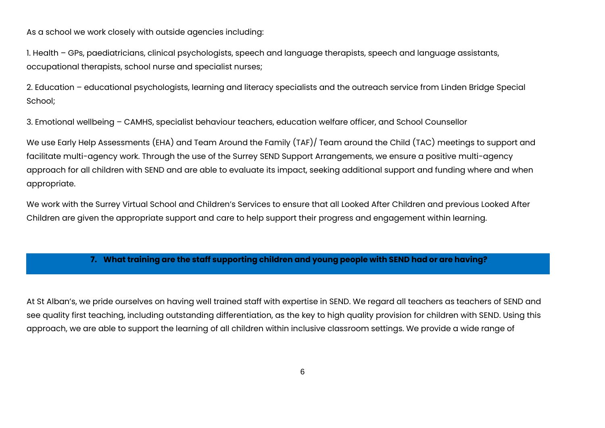As a school we work closely with outside agencies including:

1. Health – GPs, paediatricians, clinical psychologists, speech and language therapists, speech and language assistants, occupational therapists, school nurse and specialist nurses;

2. Education – educational psychologists, learning and literacy specialists and the outreach service from Linden Bridge Special School;

3. Emotional wellbeing – CAMHS, specialist behaviour teachers, education welfare officer, and School Counsellor

We use Early Help Assessments (EHA) and Team Around the Family (TAF)/ Team around the Child (TAC) meetings to support and facilitate multi-agency work. Through the use of the Surrey SEND Support Arrangements, we ensure a positive multi-agency approach for all children with SEND and are able to evaluate its impact, seeking additional support and funding where and when appropriate.

We work with the Surrey Virtual School and Children's Services to ensure that all Looked After Children and previous Looked After Children are given the appropriate support and care to help support their progress and engagement within learning.

### **7. What training are the staff supporting children and young people with SEND had or are having?**

At St Alban's, we pride ourselves on having well trained staff with expertise in SEND. We regard all teachers as teachers of SEND and see quality first teaching, including outstanding differentiation, as the key to high quality provision for children with SEND. Using this approach, we are able to support the learning of all children within inclusive classroom settings. We provide a wide range of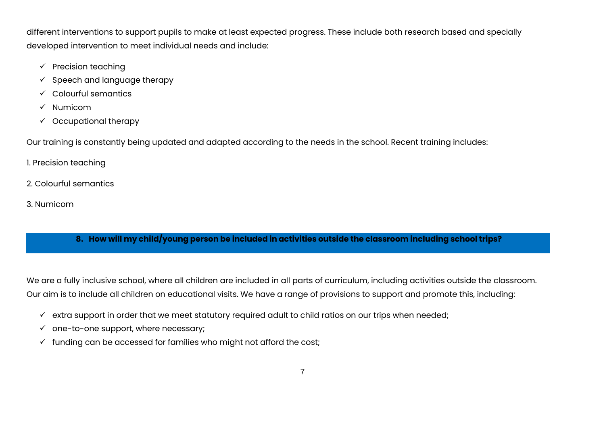different interventions to support pupils to make at least expected progress. These include both research based and specially developed intervention to meet individual needs and include:

- $\checkmark$  Precision teaching
- $\checkmark$  Speech and language therapy
- $\checkmark$  Colourful semantics
- $\checkmark$  Numicom
- $\checkmark$  Occupational therapy

Our training is constantly being updated and adapted according to the needs in the school. Recent training includes:

1. Precision teaching

- 2. Colourful semantics
- 3. Numicom

# **8. How will my child/young person be included in activities outside the classroom including school trips?**

We are a fully inclusive school, where all children are included in all parts of curriculum, including activities outside the classroom. Our aim is to include all children on educational visits. We have a range of provisions to support and promote this, including:

- $\checkmark$  extra support in order that we meet statutory required adult to child ratios on our trips when needed;
- $\checkmark$  one-to-one support, where necessary;
- $\checkmark$  funding can be accessed for families who might not afford the cost;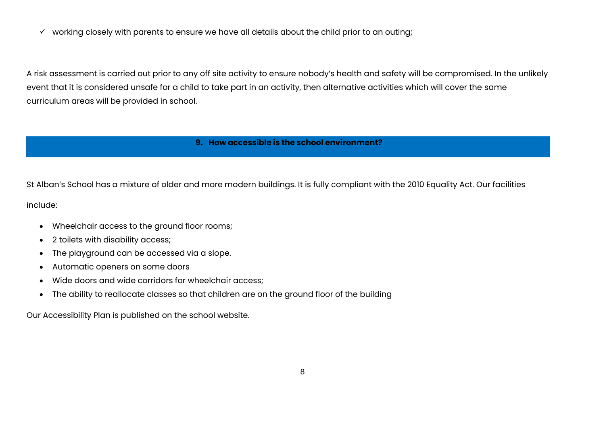$\checkmark$  working closely with parents to ensure we have all details about the child prior to an outing;

A risk assessment is carried out prior to any off site activity to ensure nobody's health and safety will be compromised. In the unlikely event that it is considered unsafe for a child to take part in an activity, then alternative activities which will cover the same curriculum areas will be provided in school.

### **9. How accessible is the school environment?**

St Alban's School has a mixture of older and more modern buildings. It is fully compliant with the 2010 Equality Act. Our facilities

include:

- Wheelchair access to the ground floor rooms;
- 2 toilets with disability access;
- The playground can be accessed via a slope.
- Automatic openers on some doors
- Wide doors and wide corridors for wheelchair access;
- The ability to reallocate classes so that children are on the ground floor of the building

Our Accessibility Plan is published on the school website.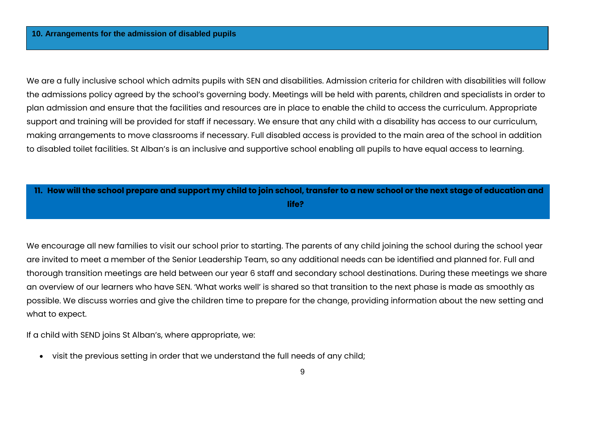We are a fully inclusive school which admits pupils with SEN and disabilities. Admission criteria for children with disabilities will follow the admissions policy agreed by the school's governing body. Meetings will be held with parents, children and specialists in order to plan admission and ensure that the facilities and resources are in place to enable the child to access the curriculum. Appropriate support and training will be provided for staff if necessary. We ensure that any child with a disability has access to our curriculum, making arrangements to move classrooms if necessary. Full disabled access is provided to the main area of the school in addition to disabled toilet facilities. St Alban's is an inclusive and supportive school enabling all pupils to have equal access to learning.

| 11. How will the school prepare and support my child to join school, transfer to a new school or the next stage of education and |
|----------------------------------------------------------------------------------------------------------------------------------|
| life?                                                                                                                            |

We encourage all new families to visit our school prior to starting. The parents of any child joining the school during the school year are invited to meet a member of the Senior Leadership Team, so any additional needs can be identified and planned for. Full and thorough transition meetings are held between our year 6 staff and secondary school destinations. During these meetings we share an overview of our learners who have SEN. 'What works well' is shared so that transition to the next phase is made as smoothly as possible. We discuss worries and give the children time to prepare for the change, providing information about the new setting and what to expect.

If a child with SEND joins St Alban's, where appropriate, we:

• visit the previous setting in order that we understand the full needs of any child;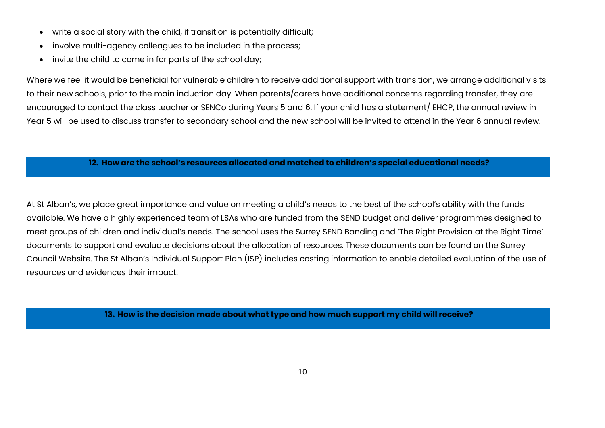- write a social story with the child, if transition is potentially difficult;
- involve multi-agency colleagues to be included in the process;
- invite the child to come in for parts of the school day;

Where we feel it would be beneficial for vulnerable children to receive additional support with transition, we arrange additional visits to their new schools, prior to the main induction day. When parents/carers have additional concerns regarding transfer, they are encouraged to contact the class teacher or SENCo during Years 5 and 6. If your child has a statement/ EHCP, the annual review in Year 5 will be used to discuss transfer to secondary school and the new school will be invited to attend in the Year 6 annual review.

### **12. How are the school's resources allocated and matched to children's special educational needs?**

At St Alban's, we place great importance and value on meeting a child's needs to the best of the school's ability with the funds available. We have a highly experienced team of LSAs who are funded from the SEND budget and deliver programmes designed to meet groups of children and individual's needs. The school uses the Surrey SEND Banding and 'The Right Provision at the Right Time' documents to support and evaluate decisions about the allocation of resources. These documents can be found on the Surrey Council Website. The St Alban's Individual Support Plan (ISP) includes costing information to enable detailed evaluation of the use of resources and evidences their impact.

**13. How is the decision made about what type and how much support my child will receive?**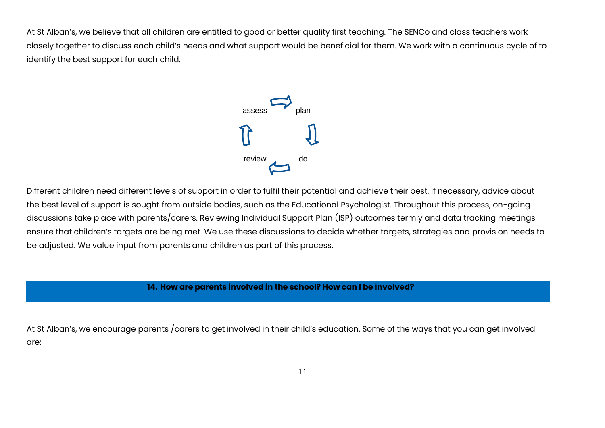At St Alban's, we believe that all children are entitled to good or better quality first teaching. The SENCo and class teachers work closely together to discuss each child's needs and what support would be beneficial for them. We work with a continuous cycle of to identify the best support for each child.



Different children need different levels of support in order to fulfil their potential and achieve their best. If necessary, advice about the best level of support is sought from outside bodies, such as the Educational Psychologist. Throughout this process, on-going discussions take place with parents/carers. Reviewing Individual Support Plan (ISP) outcomes termly and data tracking meetings ensure that children's targets are being met. We use these discussions to decide whether targets, strategies and provision needs to be adjusted. We value input from parents and children as part of this process.

# **14. How are parents involved in the school? How can I be involved?**

At St Alban's, we encourage parents /carers to get involved in their child's education. Some of the ways that you can get involved are: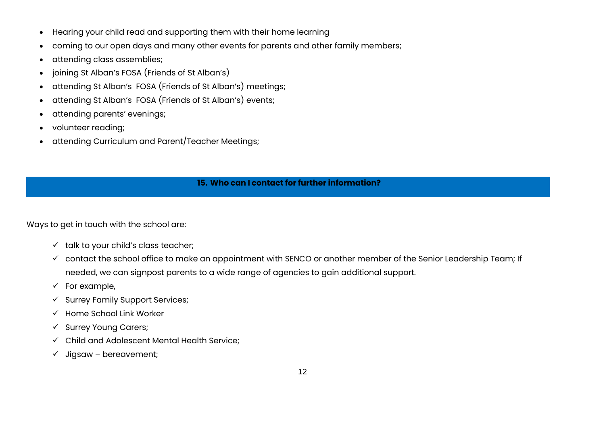- Hearing your child read and supporting them with their home learning
- coming to our open days and many other events for parents and other family members;
- attending class assemblies;
- joining St Alban's FOSA (Friends of St Alban's)
- attending St Alban's FOSA (Friends of St Alban's) meetings;
- attending St Alban's FOSA (Friends of St Alban's) events;
- attending parents' evenings;
- volunteer reading;
- attending Curriculum and Parent/Teacher Meetings;

## **15. Who can I contact for further information?**

Ways to get in touch with the school are:

- $\checkmark$  talk to your child's class teacher;
- $\checkmark$  contact the school office to make an appointment with SENCO or another member of the Senior Leadership Team; If needed, we can signpost parents to a wide range of agencies to gain additional support.
- $\checkmark$  For example,
- $\checkmark$  Surrey Family Support Services;
- $\checkmark$  Home School Link Worker
- $\checkmark$  Surrey Young Carers;
- Child and Adolescent Mental Health Service;
- $\checkmark$  Jigsaw bereavement;